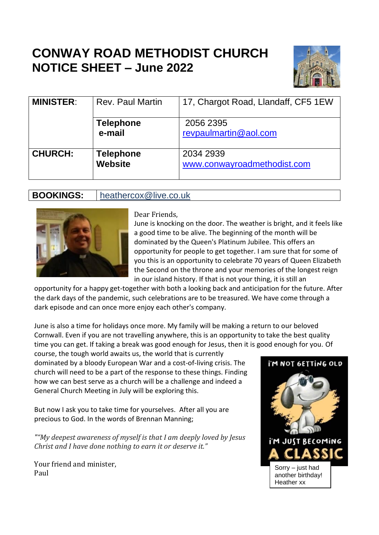# **CONWAY ROAD METHODIST CHURCH NOTICE SHEET – June 2022**



| <b>MINISTER:</b> | <b>Rev. Paul Martin</b>            | 17, Chargot Road, Llandaff, CF5 1EW      |  |  |  |  |
|------------------|------------------------------------|------------------------------------------|--|--|--|--|
|                  | <b>Telephone</b><br>e-mail         | 2056 2395<br>revpaulmartin@aol.com       |  |  |  |  |
| <b>CHURCH:</b>   | <b>Telephone</b><br><b>Website</b> | 2034 2939<br>www.conwayroadmethodist.com |  |  |  |  |

## **BOOKINGS:** heathercox@live.co.uk



Dear Friends,

June is knocking on the door. The weather is bright, and it feels like a good time to be alive. The beginning of the month will be dominated by the Queen's Platinum Jubilee. This offers an opportunity for people to get together. I am sure that for some of you this is an opportunity to celebrate 70 years of Queen Elizabeth the Second on the throne and your memories of the longest reign in our island history. If that is not your thing, it is still an

opportunity for a happy get-together with both a looking back and anticipation for the future. After the dark days of the pandemic, such celebrations are to be treasured. We have come through a dark episode and can once more enjoy each other's company.

June is also a time for holidays once more. My family will be making a return to our beloved Cornwall. Even if you are not travelling anywhere, this is an opportunity to take the best quality time you can get. If taking a break was good enough for Jesus, then it is good enough for you. Of course, the tough world awaits us, the world that is currently

dominated by a bloody European War and a cost-of-living crisis. The church will need to be a part of the response to these things. Finding how we can best serve as a church will be a challenge and indeed a General Church Meeting in July will be exploring this.

But now I ask you to take time for yourselves. After all you are precious to God. In the words of Brennan Manning;

*""My deepest awareness of myself is that I am deeply loved by Jesus Christ and I have done nothing to earn it or deserve it."*

Your friend and minister, Paul

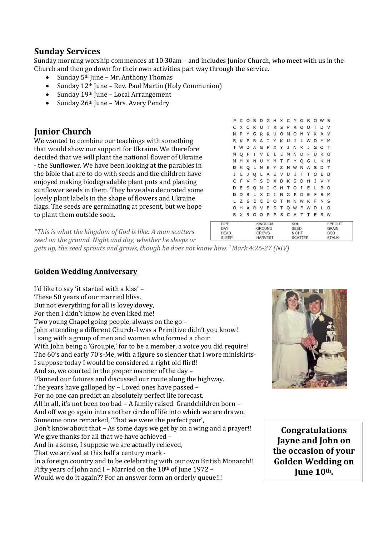### **Sunday Services**

Sunday morning worship commences at 10.30am – and includes Junior Church, who meet with us in the Church and then go down for their own activities part way through the service.

**RIPF** 

DAY

HFAD

**SLEEP** 

- Sunday 5th June Mr. Anthony Thomas
- Sunday 12th June Rev. Paul Martin (Holy Communion)
- Sunday 19th June Local Arrangement
- Sunday 26th June Mrs. Avery Pendry

### **Junior Church**

We wanted to combine our teachings with something that would show our support for Ukraine. We therefore decided that we will plant the national flower of Ukraine - the Sunflower. We have been looking at the parables in the bible that are to do with seeds and the children have enjoyed making biodegradable plant pots and planting sunflower seeds in them. They have also decorated some lovely plant labels in the shape of flowers and Ukraine flags. The seeds are germinating at present, but we hope to plant them outside soon.

|   |   |     |  |  |  |  | P C O S D G H X C Y G R O W S |     |  |
|---|---|-----|--|--|--|--|-------------------------------|-----|--|
|   |   |     |  |  |  |  | C X C K U T R S P R O U T D V |     |  |
| N | P |     |  |  |  |  | YGRRUOMOHYKAV                 |     |  |
| R | К |     |  |  |  |  | <b>PRAIYKUJLWDYM</b>          |     |  |
| т | W |     |  |  |  |  | DAGPXYJNKJGOT                 |     |  |
| M |   | Q F |  |  |  |  | I V E L E M N D F D K O       |     |  |
| M |   |     |  |  |  |  | H X N U H H T F Y Q G L K H   |     |  |
| D | K |     |  |  |  |  | Q L N E Y Z N W N A S D T     |     |  |
| J | C |     |  |  |  |  | J Q L A E V U I T T O E D     |     |  |
| C | F |     |  |  |  |  | VFSDXDKSDHIVY                 |     |  |
|   |   |     |  |  |  |  | D E S Q N I G H T O I E L B O |     |  |
|   | D | B   |  |  |  |  | L X C I N G P D E F B M       |     |  |
|   | Z |     |  |  |  |  | <b>SEEDOTNNWKFNS</b>          |     |  |
| O | н |     |  |  |  |  | ARVESTQWEWD                   | L O |  |
| R |   |     |  |  |  |  | X R G O P P S C A T T E R W   |     |  |
|   |   |     |  |  |  |  |                               |     |  |

SOIL

SEED

**NIGHT** 

SCATTER

**KINGDOM** 

GROUND

**HARVEST** 

**GROWS** 

*"This is what the kingdom of God is like: A man scatters seed on the ground. Night and day, whether he sleeps or* 

*gets up, the seed sprouts and grows, though he does not know how." Mark 4:26-27 (NIV)*

#### **Golden Wedding Anniversary**

I'd like to say 'it started with a kiss' – These 50 years of our married bliss. But not everything for all is lovey dovey, For then I didn't know he even liked me! Two young Chapel going people, always on the go – John attending a different Church-I was a Primitive didn't you know! I sang with a group of men and women who formed a choir With John being a 'Groupie,' for to be a member, a voice you did require! The 60's and early 70's-Me, with a figure so slender that I wore miniskirts-I suppose today I would be considered a right old flirt!! And so, we courted in the proper manner of the day – Planned our futures and discussed our route along the highway. The years have galloped by – Loved ones have passed – For no one can predict an absolutely perfect life forecast. All in all, it's not been too bad – A family raised. Grandchildren born – And off we go again into another circle of life into which we are drawn. Someone once remarked, 'That we were the perfect pair', Don't know about that – As some days we get by on a wing and a prayer!! We give thanks for all that we have achieved – And in a sense, I suppose we are actually relieved, That we arrived at this half a century mark - In a foreign country and to be celebrating with our own British Monarch!! Fifty years of John and I – Married on the  $10<sup>th</sup>$  of June 1972 – Would we do it again?? For an answer form an orderly queue!!!



SPROUT

GRAIN

STALK

GOD

**Congratulations Jayne and John on the occasion of your Golden Wedding on June 10th. x**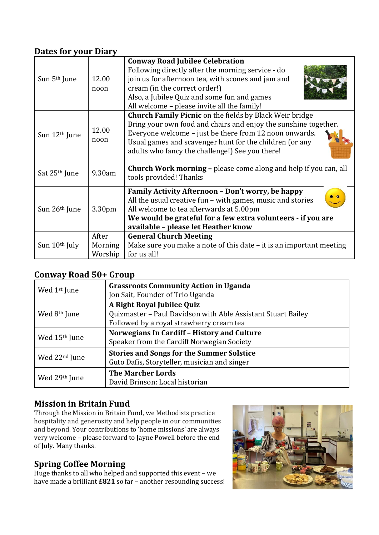## **Dates for your Diary**

| Sun 5 <sup>th</sup> June  | 12.00<br>noon               | <b>Conway Road Jubilee Celebration</b><br>Following directly after the morning service - do<br>join us for afternoon tea, with scones and jam and<br>cream (in the correct order!)<br>Also, a Jubilee Quiz and some fun and games<br>All welcome - please invite all the family!                          |
|---------------------------|-----------------------------|-----------------------------------------------------------------------------------------------------------------------------------------------------------------------------------------------------------------------------------------------------------------------------------------------------------|
| Sun 12 <sup>th</sup> June | 12.00<br>noon               | <b>Church Family Picnic</b> on the fields by Black Weir bridge<br>Bring your own food and chairs and enjoy the sunshine together.<br>Everyone welcome - just be there from 12 noon onwards.<br>Usual games and scavenger hunt for the children (or any<br>adults who fancy the challenge!) See you there! |
| Sat 25 <sup>th</sup> June | 9.30am                      | Church Work morning - please come along and help if you can, all<br>tools provided! Thanks                                                                                                                                                                                                                |
| Sun 26 <sup>th</sup> June | 3.30 <sub>pm</sub>          | Family Activity Afternoon - Don't worry, be happy<br>All the usual creative fun – with games, music and stories<br>All welcome to tea afterwards at 5.00pm<br>We would be grateful for a few extra volunteers - if you are<br>available - please let Heather know                                         |
| Sun 10 <sup>th</sup> July | After<br>Morning<br>Worship | <b>General Church Meeting</b><br>Make sure you make a note of this date – it is an important meeting<br>for us all!                                                                                                                                                                                       |

# **Conway Road 50+ Group**

| Wed 1 <sup>st</sup> June  | <b>Grassroots Community Action in Uganda</b><br>Jon Sait, Founder of Trio Uganda                                                       |
|---------------------------|----------------------------------------------------------------------------------------------------------------------------------------|
| Wed 8 <sup>th</sup> June  | A Right Royal Jubilee Quiz<br>Quizmaster - Paul Davidson with Able Assistant Stuart Bailey<br>Followed by a royal strawberry cream tea |
| Wed 15 <sup>th</sup> June | <b>Norwegians In Cardiff - History and Culture</b><br>Speaker from the Cardiff Norwegian Society                                       |
| Wed 22 <sup>nd</sup> June | <b>Stories and Songs for the Summer Solstice</b><br>Guto Dafis, Storyteller, musician and singer                                       |
| Wed 29th June             | <b>The Marcher Lords</b><br>David Brinson: Local historian                                                                             |

# **Mission in Britain Fund**

Through the Mission in Britain Fund, we Methodists practice hospitality and generosity and help people in our communities and beyond. Your contributions to 'home missions' are always very welcome – please forward to Jayne Powell before the end of July. Many thanks.

# **Spring Coffee Morning**

Huge thanks to all who helped and supported this event – we have made a brilliant **£821** so far – another resounding success!